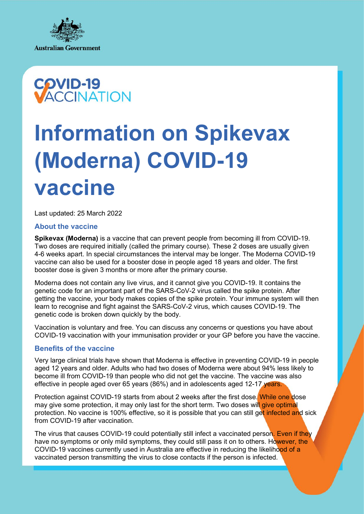



# **Information on Spikevax (Moderna) COVID-19 vaccine**

Last updated: 25 March 2022

#### **About the vaccine**

**Spikevax (Moderna)** is a vaccine that can prevent people from becoming ill from COVID-19. Two doses are required initially (called the primary course). These 2 doses are usually given 4-6 weeks apart. In special circumstances the interval may be longer. The Moderna COVID-19 vaccine can also be used for a booster dose in people aged 18 years and older. The first booster dose is given 3 months or more after the primary course.

Moderna does not contain any live virus, and it cannot give you COVID-19. It contains the genetic code for an important part of the SARS-CoV-2 virus called the spike protein. After getting the vaccine, your body makes copies of the spike protein. Your immune system will then learn to recognise and fight against the SARS-CoV-2 virus, which causes COVID-19. The genetic code is broken down quickly by the body.

Vaccination is voluntary and free. You can discuss any concerns or questions you have about COVID-19 vaccination with your immunisation provider or your GP before you have the vaccine.

## **Benefits of the vaccine**

Very large clinical trials have shown that Moderna is effective in preventing COVID-19 in people aged 12 years and older. Adults who had two doses of Moderna were about 94% less likely to become ill from COVID-19 than people who did not get the vaccine. The vaccine was also effective in people aged over 65 years (86%) and in adolescents aged 12-17 years.

Protection against COVID-19 starts from about 2 weeks after the first dose. While one dose may give some protection, it may only last for the short term. Two doses will give optimal protection. No vaccine is 100% effective, so it is possible that you can still get infected and sick from COVID-19 after vaccination.

The virus that causes COVID-19 could potentially still infect a vaccinated person. Even if they have no symptoms or only mild symptoms, they could still pass it on to others. However, the COVID-19 vaccines currently used in Australia are effective in reducing the likelihood of a vaccinated person transmitting the virus to close contacts if the person is infected.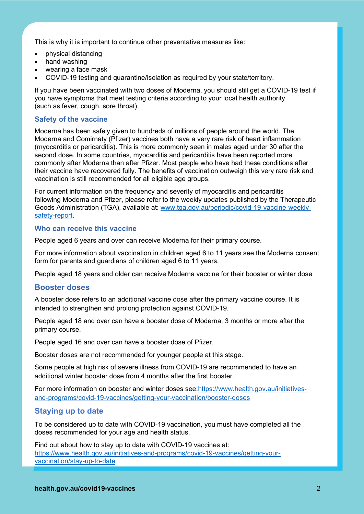This is why it is important to continue other preventative measures like:

- physical distancing
- hand washing
- wearing a face mask
- COVID-19 testing and quarantine/isolation as required by your state/territory.

If you have been vaccinated with two doses of Moderna, you should still get a COVID-19 test if you have symptoms that meet testing criteria according to your local health authority (such as fever, cough, sore throat).

## **Safety of the vaccine**

Moderna has been safely given to hundreds of millions of people around the world. The Moderna and Comirnaty (Pfizer) vaccines both have a very rare risk of heart inflammation (myocarditis or pericarditis). This is more commonly seen in males aged under 30 after the second dose. In some countries, myocarditis and pericarditis have been reported more commonly after Moderna than after Pfizer. Most people who have had these conditions after their vaccine have recovered fully. The benefits of vaccination outweigh this very rare risk and vaccination is still recommended for all eligible age groups.

For current information on the frequency and severity of myocarditis and pericarditis following Moderna and Pfizer, please refer to the weekly updates published by the Therapeutic Goods Administration (TGA), available at: [www.tga.gov.au/periodic/covid-19-vaccine-weekly](https://www.tga.gov.au/periodic/covid-19-vaccine-weekly-safety-report)[safety-report.](https://www.tga.gov.au/periodic/covid-19-vaccine-weekly-safety-report)

#### **Who can receive this vaccine**

People aged 6 years and over can receive Moderna for their primary course.

For more information about vaccination in children aged 6 to 11 years see the Moderna consent form for parents and guardians of children aged 6 to 11 years.

People aged 18 years and older can receive Moderna vaccine for their booster or winter dose

### **Booster doses**

A booster dose refers to an additional vaccine dose after the primary vaccine course. It is intended to strengthen and prolong protection against COVID-19.

People aged 18 and over can have a booster dose of Moderna, 3 months or more after the primary course.

People aged 16 and over can have a booster dose of Pfizer.

Booster doses are not recommended for younger people at this stage.

Some people at high risk of severe illness from COVID-19 are recommended to have an additional winter booster dose from 4 months after the first booster.

For more information on booster and winter doses see[:https://www.health.gov.au/initiatives](https://www.health.gov.au/initiatives-and-programs/covid-19-vaccines/getting-your-vaccination/booster-doses)[and-programs/covid-19-vaccines/getting-your-vaccination/booster-doses](https://www.health.gov.au/initiatives-and-programs/covid-19-vaccines/getting-your-vaccination/booster-doses)

## **Staying up to date**

To be considered up to date with COVID-19 vaccination, you must have completed all the doses recommended for your age and health status.

Find out about how to stay up to date with COVID-19 vaccines at: [https://www.health.gov.au/initiatives-and-programs/covid-19-vaccines/getting-your](https://www.health.gov.au/initiatives-and-programs/covid-19-vaccines/getting-your-vaccination/stay-up-to-date)[vaccination/stay-up-to-date](https://www.health.gov.au/initiatives-and-programs/covid-19-vaccines/getting-your-vaccination/stay-up-to-date)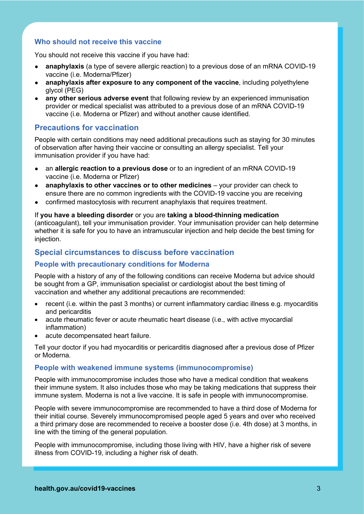## **Who should not receive this vaccine**

You should not receive this vaccine if you have had:

- **anaphylaxis** (a type of severe allergic reaction) to a previous dose of an mRNA COVID-19 vaccine (i.e. Moderna/Pfizer)
- **anaphylaxis after exposure to any component of the vaccine, including polyethylene** glycol (PEG)
- **any other serious adverse event** that following review by an experienced immunisation provider or medical specialist was attributed to a previous dose of an mRNA COVID-19 vaccine (i.e. Moderna or Pfizer) and without another cause identified.

## **Precautions for vaccination**

People with certain conditions may need additional precautions such as staying for 30 minutes of observation after having their vaccine or consulting an allergy specialist. Tell your immunisation provider if you have had:

- an **allergic reaction to a previous dose** or to an ingredient of an mRNA COVID-19 vaccine (i.e. Moderna or Pfizer)
- **anaphylaxis to other vaccines or to other medicines** your provider can check to ensure there are no common ingredients with the COVID-19 vaccine you are receiving
- confirmed mastocytosis with recurrent anaphylaxis that requires treatment.

If **you have a bleeding disorder** or you are **taking a blood-thinning medication**  (anticoagulant), tell your immunisation provider. Your immunisation provider can help determine whether it is safe for you to have an intramuscular injection and help decide the best timing for injection.

## **Special circumstances to discuss before vaccination**

### **People with precautionary conditions for Moderna**

People with a history of any of the following conditions can receive Moderna but advice should be sought from a GP, immunisation specialist or cardiologist about the best timing of vaccination and whether any additional precautions are recommended:

- recent (i.e. within the past 3 months) or current inflammatory cardiac illness e.g. myocarditis and pericarditis
- acute rheumatic fever or acute rheumatic heart disease (i.e., with active myocardial inflammation)
- acute decompensated heart failure.

Tell your doctor if you had myocarditis or pericarditis diagnosed after a previous dose of Pfizer or Moderna.

#### **People with weakened immune systems (immunocompromise)**

People with immunocompromise includes those who have a medical condition that weakens their immune system. It also includes those who may be taking medications that suppress their immune system. Moderna is not a live vaccine. It is safe in people with immunocompromise.

People with severe immunocompromise are recommended to have a third dose of Moderna for their initial course. Severely immunocompromised people aged 5 years and over who received a third primary dose are recommended to receive a booster dose (i.e. 4th dose) at 3 months, in line with the timing of the general population.

People with immunocompromise, including those living with HIV, have a higher risk of severe illness from COVID-19, including a higher risk of death.